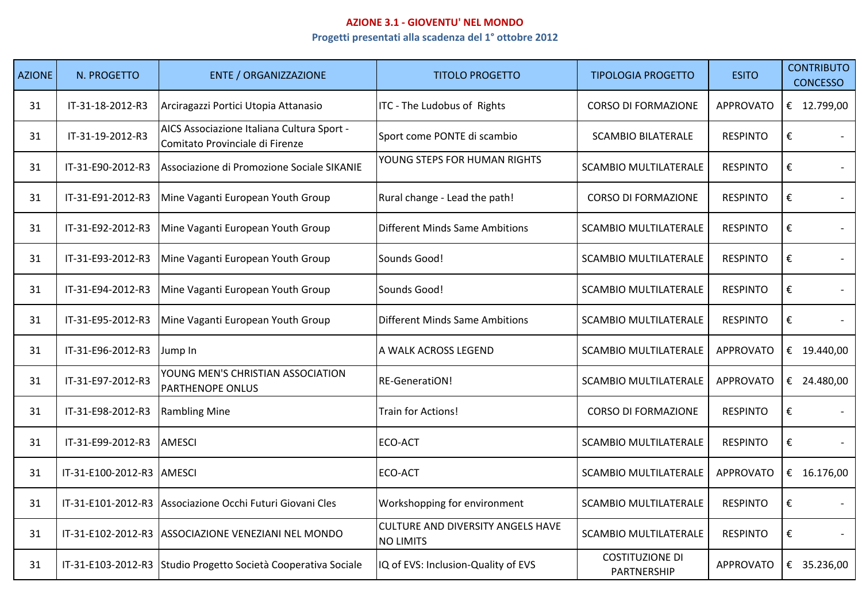## **AZIONE 3.1 - GIOVENTU' NEL MONDO**

## **Progetti presentati alla scadenza del 1° ottobre 2012**

| <b>AZIONE</b> | N. PROGETTO        | <b>ENTE / ORGANIZZAZIONE</b>                                                  | <b>TITOLO PROGETTO</b>                                       | <b>TIPOLOGIA PROGETTO</b>             | <b>ESITO</b>     | <b>CONTRIBUTO</b><br><b>CONCESSO</b> |
|---------------|--------------------|-------------------------------------------------------------------------------|--------------------------------------------------------------|---------------------------------------|------------------|--------------------------------------|
| 31            | IT-31-18-2012-R3   | Arciragazzi Portici Utopia Attanasio                                          | ITC - The Ludobus of Rights                                  | <b>CORSO DI FORMAZIONE</b>            | <b>APPROVATO</b> | € 12.799,00                          |
| 31            | IT-31-19-2012-R3   | AICS Associazione Italiana Cultura Sport -<br>Comitato Provinciale di Firenze | Sport come PONTE di scambio                                  | <b>SCAMBIO BILATERALE</b>             | <b>RESPINTO</b>  | €                                    |
| 31            | IT-31-E90-2012-R3  | Associazione di Promozione Sociale SIKANIE                                    | YOUNG STEPS FOR HUMAN RIGHTS                                 | <b>SCAMBIO MULTILATERALE</b>          | <b>RESPINTO</b>  | €                                    |
| 31            | IT-31-E91-2012-R3  | Mine Vaganti European Youth Group                                             | Rural change - Lead the path!                                | <b>CORSO DI FORMAZIONE</b>            | <b>RESPINTO</b>  | €                                    |
| 31            | IT-31-E92-2012-R3  | Mine Vaganti European Youth Group                                             | <b>Different Minds Same Ambitions</b>                        | <b>SCAMBIO MULTILATERALE</b>          | <b>RESPINTO</b>  | €                                    |
| 31            | IT-31-E93-2012-R3  | Mine Vaganti European Youth Group                                             | Sounds Good!                                                 | <b>SCAMBIO MULTILATERALE</b>          | <b>RESPINTO</b>  | €                                    |
| 31            | IT-31-E94-2012-R3  | Mine Vaganti European Youth Group                                             | Sounds Good!                                                 | <b>SCAMBIO MULTILATERALE</b>          | <b>RESPINTO</b>  | €                                    |
| 31            | IT-31-E95-2012-R3  | Mine Vaganti European Youth Group                                             | <b>Different Minds Same Ambitions</b>                        | <b>SCAMBIO MULTILATERALE</b>          | <b>RESPINTO</b>  | €                                    |
| 31            | IT-31-E96-2012-R3  | Jump In                                                                       | A WALK ACROSS LEGEND                                         | <b>SCAMBIO MULTILATERALE</b>          | <b>APPROVATO</b> | € 19.440,00                          |
| 31            | IT-31-E97-2012-R3  | YOUNG MEN'S CHRISTIAN ASSOCIATION<br>PARTHENOPE ONLUS                         | RE-GeneratiON!                                               | <b>SCAMBIO MULTILATERALE</b>          | <b>APPROVATO</b> | € 24.480,00                          |
| 31            | IT-31-E98-2012-R3  | <b>Rambling Mine</b>                                                          | Train for Actions!                                           | <b>CORSO DI FORMAZIONE</b>            | <b>RESPINTO</b>  | €                                    |
| 31            | IT-31-E99-2012-R3  | <b>AMESCI</b>                                                                 | ECO-ACT                                                      | <b>SCAMBIO MULTILATERALE</b>          | <b>RESPINTO</b>  | €                                    |
| 31            | IT-31-E100-2012-R3 | <b>AMESCI</b>                                                                 | ECO-ACT                                                      | <b>SCAMBIO MULTILATERALE</b>          | <b>APPROVATO</b> | € $16.176,00$                        |
| 31            | IT-31-E101-2012-R3 | Associazione Occhi Futuri Giovani Cles                                        | Workshopping for environment                                 | <b>SCAMBIO MULTILATERALE</b>          | <b>RESPINTO</b>  | €                                    |
| 31            | IT-31-E102-2012-R3 | ASSOCIAZIONE VENEZIANI NEL MONDO                                              | <b>CULTURE AND DIVERSITY ANGELS HAVE</b><br><b>NO LIMITS</b> | <b>SCAMBIO MULTILATERALE</b>          | <b>RESPINTO</b>  | €                                    |
| 31            |                    | IT-31-E103-2012-R3 Studio Progetto Società Cooperativa Sociale                | IQ of EVS: Inclusion-Quality of EVS                          | <b>COSTITUZIONE DI</b><br>PARTNERSHIP | <b>APPROVATO</b> | € 35.236,00                          |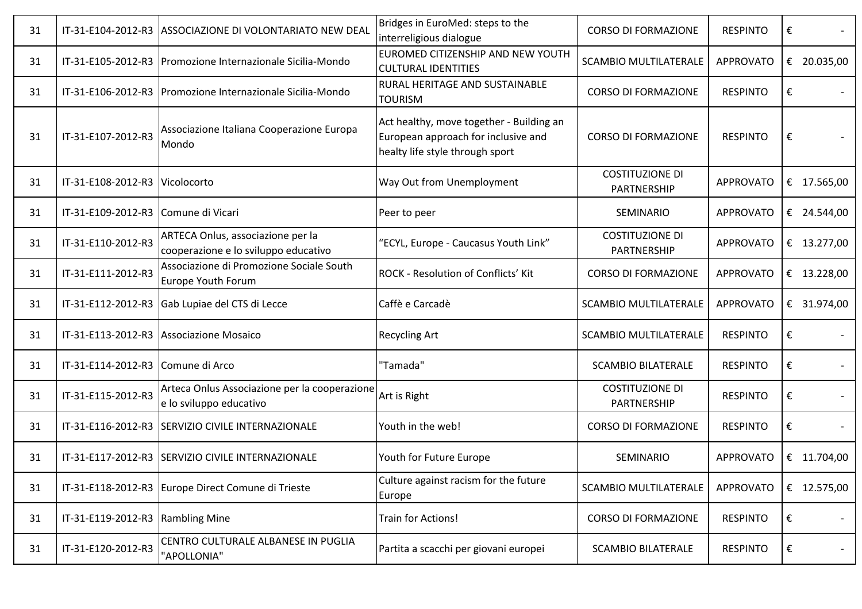| 31 | IT-31-E104-2012-R3 | ASSOCIAZIONE DI VOLONTARIATO NEW DEAL                                     | Bridges in EuroMed: steps to the<br>interreligious dialogue                                                        | <b>CORSO DI FORMAZIONE</b>            | <b>RESPINTO</b>  | €           |
|----|--------------------|---------------------------------------------------------------------------|--------------------------------------------------------------------------------------------------------------------|---------------------------------------|------------------|-------------|
| 31 | IT-31-E105-2012-R3 | Promozione Internazionale Sicilia-Mondo                                   | EUROMED CITIZENSHIP AND NEW YOUTH<br><b>CULTURAL IDENTITIES</b>                                                    | <b>SCAMBIO MULTILATERALE</b>          | <b>APPROVATO</b> | € 20.035,00 |
| 31 | IT-31-E106-2012-R3 | Promozione Internazionale Sicilia-Mondo                                   | RURAL HERITAGE AND SUSTAINABLE<br><b>TOURISM</b>                                                                   | <b>CORSO DI FORMAZIONE</b>            | <b>RESPINTO</b>  | €           |
| 31 | IT-31-E107-2012-R3 | Associazione Italiana Cooperazione Europa<br>Mondo                        | Act healthy, move together - Building an<br>European approach for inclusive and<br>healty life style through sport | <b>CORSO DI FORMAZIONE</b>            | <b>RESPINTO</b>  | €           |
| 31 | IT-31-E108-2012-R3 | Vicolocorto                                                               | Way Out from Unemployment                                                                                          | <b>COSTITUZIONE DI</b><br>PARTNERSHIP | <b>APPROVATO</b> | € 17.565,00 |
| 31 | IT-31-E109-2012-R3 | Comune di Vicari                                                          | Peer to peer                                                                                                       | SEMINARIO                             | <b>APPROVATO</b> | € 24.544,00 |
| 31 | IT-31-E110-2012-R3 | ARTECA Onlus, associazione per la<br>cooperazione e lo sviluppo educativo | "ECYL, Europe - Caucasus Youth Link"                                                                               | <b>COSTITUZIONE DI</b><br>PARTNERSHIP | <b>APPROVATO</b> | € 13.277,00 |
| 31 | IT-31-E111-2012-R3 | Associazione di Promozione Sociale South<br>Europe Youth Forum            | <b>ROCK - Resolution of Conflicts' Kit</b>                                                                         | <b>CORSO DI FORMAZIONE</b>            | <b>APPROVATO</b> | € 13.228,00 |
| 31 | IT-31-E112-2012-R3 | Gab Lupiae del CTS di Lecce                                               | Caffè e Carcadè                                                                                                    | <b>SCAMBIO MULTILATERALE</b>          | <b>APPROVATO</b> | € 31.974,00 |
| 31 | IT-31-E113-2012-R3 | Associazione Mosaico                                                      | <b>Recycling Art</b>                                                                                               | <b>SCAMBIO MULTILATERALE</b>          | <b>RESPINTO</b>  | €           |
| 31 | IT-31-E114-2012-R3 | Comune di Arco                                                            | "Tamada"                                                                                                           | <b>SCAMBIO BILATERALE</b>             | <b>RESPINTO</b>  | €           |
| 31 | IT-31-E115-2012-R3 | Arteca Onlus Associazione per la cooperazione<br>e lo sviluppo educativo  | Art is Right                                                                                                       | <b>COSTITUZIONE DI</b><br>PARTNERSHIP | <b>RESPINTO</b>  | €           |
| 31 | IT-31-E116-2012-R3 | <b>SERVIZIO CIVILE INTERNAZIONALE</b>                                     | Youth in the web!                                                                                                  | <b>CORSO DI FORMAZIONE</b>            | <b>RESPINTO</b>  | €           |
| 31 | IT-31-E117-2012-R3 | <b>SERVIZIO CIVILE INTERNAZIONALE</b>                                     | Youth for Future Europe                                                                                            | SEMINARIO                             | <b>APPROVATO</b> | € 11.704,00 |
| 31 |                    | IT-31-E118-2012-R3 Europe Direct Comune di Trieste                        | Culture against racism for the future<br>Europe                                                                    | <b>SCAMBIO MULTILATERALE</b>          | <b>APPROVATO</b> | € 12.575,00 |
| 31 | IT-31-E119-2012-R3 | <b>Rambling Mine</b>                                                      | Train for Actions!                                                                                                 | <b>CORSO DI FORMAZIONE</b>            | <b>RESPINTO</b>  | €           |
| 31 | IT-31-E120-2012-R3 | CENTRO CULTURALE ALBANESE IN PUGLIA<br>"APOLLONIA"                        | Partita a scacchi per giovani europei                                                                              | <b>SCAMBIO BILATERALE</b>             | <b>RESPINTO</b>  | €           |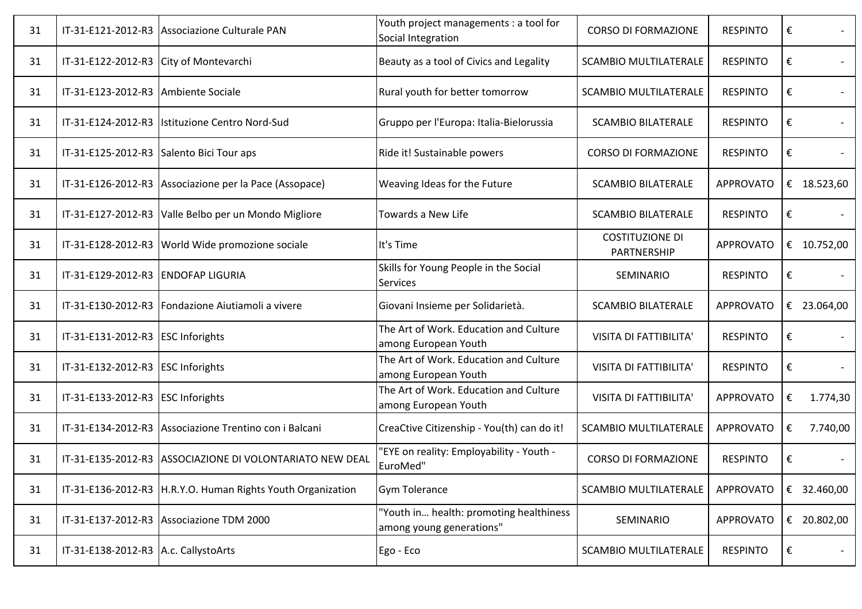| 31 |                                          | IT-31-E121-2012-R3 Associazione Culturale PAN               | Youth project managements : a tool for<br>Social Integration        | <b>CORSO DI FORMAZIONE</b>            | <b>RESPINTO</b>  | €             |
|----|------------------------------------------|-------------------------------------------------------------|---------------------------------------------------------------------|---------------------------------------|------------------|---------------|
| 31 | IT-31-E122-2012-R3 City of Montevarchi   |                                                             | Beauty as a tool of Civics and Legality                             | <b>SCAMBIO MULTILATERALE</b>          | <b>RESPINTO</b>  | €             |
| 31 | IT-31-E123-2012-R3                       | Ambiente Sociale                                            | Rural youth for better tomorrow                                     | <b>SCAMBIO MULTILATERALE</b>          | <b>RESPINTO</b>  | €             |
| 31 |                                          | IT-31-E124-2012-R3  Istituzione Centro Nord-Sud             | Gruppo per l'Europa: Italia-Bielorussia                             | <b>SCAMBIO BILATERALE</b>             | <b>RESPINTO</b>  | €             |
| 31 | IT-31-E125-2012-R3 Salento Bici Tour aps |                                                             | Ride it! Sustainable powers                                         | <b>CORSO DI FORMAZIONE</b>            | <b>RESPINTO</b>  | €             |
| 31 |                                          | IT-31-E126-2012-R3 Associazione per la Pace (Assopace)      | Weaving Ideas for the Future                                        | <b>SCAMBIO BILATERALE</b>             | <b>APPROVATO</b> | € 18.523,60   |
| 31 | IT-31-E127-2012-R3                       | Valle Belbo per un Mondo Migliore                           | Towards a New Life                                                  | <b>SCAMBIO BILATERALE</b>             | <b>RESPINTO</b>  | €             |
| 31 |                                          | IT-31-E128-2012-R3 World Wide promozione sociale            | It's Time                                                           | <b>COSTITUZIONE DI</b><br>PARTNERSHIP | <b>APPROVATO</b> | € 10.752,00   |
| 31 | IT-31-E129-2012-R3                       | <b>ENDOFAP LIGURIA</b>                                      | Skills for Young People in the Social<br><b>Services</b>            | SEMINARIO                             | <b>RESPINTO</b>  | €             |
| 31 | IT-31-E130-2012-R3                       | Fondazione Aiutiamoli a vivere                              | Giovani Insieme per Solidarietà.                                    | <b>SCAMBIO BILATERALE</b>             | <b>APPROVATO</b> | € 23.064,00   |
| 31 | IT-31-E131-2012-R3                       | <b>ESC Inforights</b>                                       | The Art of Work. Education and Culture<br>among European Youth      | VISITA DI FATTIBILITA'                | <b>RESPINTO</b>  | €             |
| 31 | IT-31-E132-2012-R3 ESC Inforights        |                                                             | The Art of Work. Education and Culture<br>among European Youth      | VISITA DI FATTIBILITA'                | <b>RESPINTO</b>  | €             |
| 31 | IT-31-E133-2012-R3                       | <b>ESC Inforights</b>                                       | The Art of Work. Education and Culture<br>among European Youth      | VISITA DI FATTIBILITA'                | <b>APPROVATO</b> | 1.774,30<br>€ |
| 31 |                                          | IT-31-E134-2012-R3 Associazione Trentino con i Balcani      | CreaCtive Citizenship - You(th) can do it!                          | <b>SCAMBIO MULTILATERALE</b>          | <b>APPROVATO</b> | 7.740,00<br>€ |
| 31 |                                          | IT-31-E135-2012-R3 ASSOCIAZIONE DI VOLONTARIATO NEW DEAL    | 'EYE on reality: Employability - Youth -<br>EuroMed"                | <b>CORSO DI FORMAZIONE</b>            | <b>RESPINTO</b>  | €             |
| 31 |                                          | IT-31-E136-2012-R3 H.R.Y.O. Human Rights Youth Organization | <b>Gym Tolerance</b>                                                | <b>SCAMBIO MULTILATERALE</b>          | <b>APPROVATO</b> | € 32.460,00   |
| 31 |                                          | IT-31-E137-2012-R3 Associazione TDM 2000                    | "Youth in health: promoting healthiness<br>among young generations" | SEMINARIO                             | <b>APPROVATO</b> | € 20.802,00   |
| 31 | IT-31-E138-2012-R3   A.c. Callysto Arts  |                                                             | Ego - Eco                                                           | <b>SCAMBIO MULTILATERALE</b>          | <b>RESPINTO</b>  | €             |